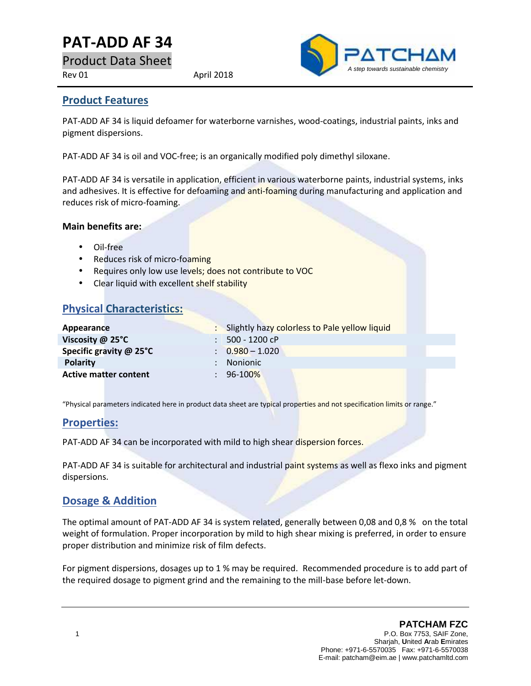# **PAT-ADD AF34**

Product Data Sheet

Rev 01 April 2018



### **Product Features**

PAT-ADD AF 34 is liquid defoamer for waterborne varnishes, wood-coatings, industrial paints, inks and pigment dispersions.

PAT-ADD AF 34 is oil and VOC-free; is an organically modified poly dimethyl siloxane.

PAT-ADD AF 34 is versatile in application, efficient in various waterborne paints, industrial systems, inks and adhesives. It is effective for defoaming and anti-foaming during manufacturing and application and reduces risk of micro-foaming.

#### **Main benefits are:**

- Oil-free
- Reduces risk of micro-foaming
- Requires only low use levels; does not contribute to VOC
- Clear liquid with excellent shelf stability

## **Physical Characteristics:**

| Appearance                   | : Slightly hazy colorless to Pale yellow liquid |
|------------------------------|-------------------------------------------------|
| Viscosity $@$ 25 $°C$        | $: 500 - 1200$ cP                               |
| Specific gravity @ 25°C      | $\therefore$ 0.980 - 1.020                      |
| <b>Polarity</b>              | : Nonionic                                      |
| <b>Active matter content</b> | $: 96-100\%$                                    |

"Physical parameters indicated here in product data sheet are typical properties and not specification limits or range."

### **Properties:**

PAT-ADD AF 34 can be incorporated with mild to high shear dispersion forces.

PAT-ADD AF 34 is suitable for architectural and industrial paint systems as well as flexo inks and pigment dispersions.

### **Dosage & Addition**

The optimal amount of PAT-ADD AF 34 is system related, generally between 0,08 and 0,8 % on the total weight of formulation. Proper incorporation by mild to high shear mixing is preferred, in order to ensure proper distribution and minimize risk of film defects.

For pigment dispersions, dosages up to 1 % may be required. Recommended procedure is to add part of the required dosage to pigment grind and the remaining to the mill-base before let-down.